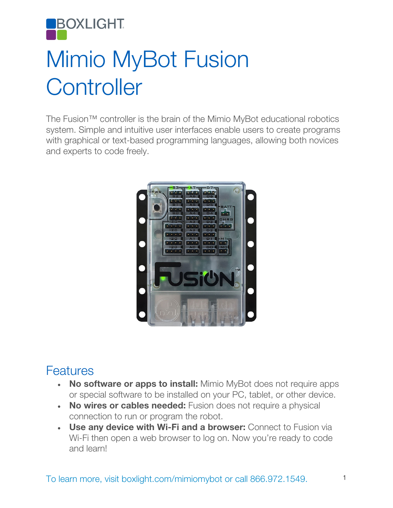

## Mimio MyBot Fusion **Controller**

The Fusion™ controller is the brain of the Mimio MyBot educational robotics system. Simple and intuitive user interfaces enable users to create programs with graphical or text-based programming languages, allowing both novices and experts to code freely.



## **Features**

- No software or apps to install: Mimio MyBot does not require apps or special software to be installed on your PC, tablet, or other device.
- No wires or cables needed: Fusion does not require a physical connection to run or program the robot.
- Use any device with Wi-Fi and a browser: Connect to Fusion via Wi-Fi then open a web browser to log on. Now you're ready to code and learn!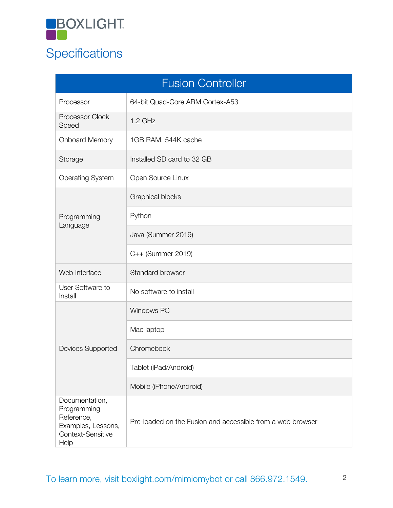

## **Specifications**

| <b>Fusion Controller</b>                                                                       |                                                            |  |
|------------------------------------------------------------------------------------------------|------------------------------------------------------------|--|
| Processor                                                                                      | 64-bit Quad-Core ARM Cortex-A53                            |  |
| Processor Clock<br>Speed                                                                       | $1.2$ GHz                                                  |  |
| <b>Onboard Memory</b>                                                                          | 1GB RAM, 544K cache                                        |  |
| Storage                                                                                        | Installed SD card to 32 GB                                 |  |
| <b>Operating System</b>                                                                        | Open Source Linux                                          |  |
| Programming<br>Language                                                                        | <b>Graphical blocks</b>                                    |  |
|                                                                                                | Python                                                     |  |
|                                                                                                | Java (Summer 2019)                                         |  |
|                                                                                                | C++ (Summer 2019)                                          |  |
| Web Interface                                                                                  | Standard browser                                           |  |
| User Software to<br>Install                                                                    | No software to install                                     |  |
| <b>Devices Supported</b>                                                                       | <b>Windows PC</b>                                          |  |
|                                                                                                | Mac laptop                                                 |  |
|                                                                                                | Chromebook                                                 |  |
|                                                                                                | Tablet (iPad/Android)                                      |  |
|                                                                                                | Mobile (iPhone/Android)                                    |  |
| Documentation,<br>Programming<br>Reference,<br>Examples, Lessons,<br>Context-Sensitive<br>Help | Pre-loaded on the Fusion and accessible from a web browser |  |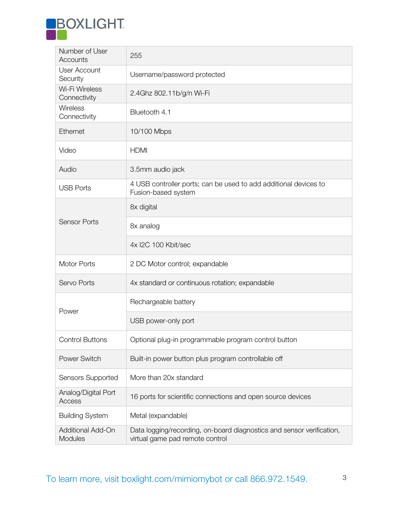

| Number of User<br>Accounts          | 255                                                                                                      |
|-------------------------------------|----------------------------------------------------------------------------------------------------------|
| <b>User Account</b><br>Security     | Username/password protected                                                                              |
| Wi-Fi Wireless<br>Connectivity      | 2.4Ghz 802.11b/g/n Wi-Fi                                                                                 |
| Wireless<br>Connectivity            | Bluetooth 4.1                                                                                            |
| Ethernet                            | 10/100 Mbps                                                                                              |
| Video                               | <b>HDMI</b>                                                                                              |
| Audio                               | 3.5mm audio jack                                                                                         |
| <b>USB Ports</b>                    | 4 USB controller ports; can be used to add additional devices to<br>Fusion-based system                  |
| <b>Sensor Ports</b>                 | 8x digital                                                                                               |
|                                     | 8x analog                                                                                                |
|                                     | 4x I2C 100 Kbit/sec                                                                                      |
| <b>Motor Ports</b>                  | 2 DC Motor control; expandable                                                                           |
| Servo Ports                         | 4x standard or continuous rotation; expandable                                                           |
| Power                               | Rechargeable battery                                                                                     |
|                                     | USB power-only port                                                                                      |
| <b>Control Buttons</b>              | Optional plug-in programmable program control button                                                     |
| <b>Power Switch</b>                 | Built-in power button plus program controllable off                                                      |
| Sensors Supported                   | More than 20x standard                                                                                   |
| Analog/Digital Port<br>Access       | 16 ports for scientific connections and open source devices                                              |
| <b>Building System</b>              | Metal (expandable)                                                                                       |
| Additional Add-On<br><b>Modules</b> | Data logging/recording, on-board diagnostics and sensor verification,<br>virtual game pad remote control |